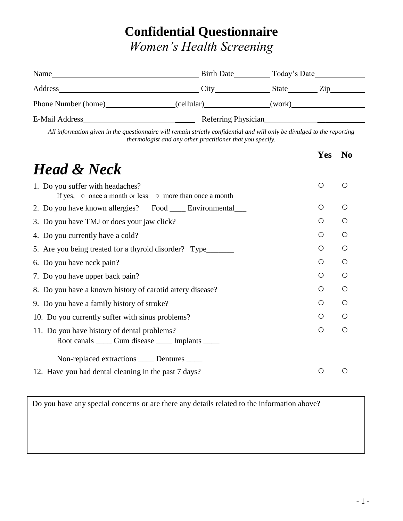## **Confidential Questionnaire** *Women's Health Screening*

| Name                | <b>Birth Date</b>   | Today's Date |     |  |
|---------------------|---------------------|--------------|-----|--|
| Address             | City                | <b>State</b> | Zin |  |
| Phone Number (home) | (cellular)          | (work)       |     |  |
| E-Mail Address      | Referring Physician |              |     |  |

*All information given in the questionnaire will remain strictly confidential and will only be divulged to the reporting thermologist and any other practitioner that you specify.*

|                                                                                                         | Yes        | N <sub>0</sub> |
|---------------------------------------------------------------------------------------------------------|------------|----------------|
| <b>Head &amp; Neck</b>                                                                                  |            |                |
| 1. Do you suffer with headaches?<br>If yes, $\circ$ once a month or less $\circ$ more than once a month | $\circ$    | ∩              |
| 2. Do you have known allergies? Food _____ Environmental____                                            | O          | ∩              |
| 3. Do you have TMJ or does your jaw click?                                                              | $\bigcirc$ | $\bigcirc$     |
| 4. Do you currently have a cold?                                                                        | $\circ$    | $\bigcirc$     |
| 5. Are you being treated for a thyroid disorder? Type____________________________                       | ◯          | ◯              |
| 6. Do you have neck pain?                                                                               | $\bigcirc$ | $\bigcirc$     |
| 7. Do you have upper back pain?                                                                         | $\bigcirc$ | $\bigcirc$     |
| 8. Do you have a known history of carotid artery disease?                                               | $\bigcirc$ | ∩              |
| 9. Do you have a family history of stroke?                                                              | O          | Ω              |
| 10. Do you currently suffer with sinus problems?                                                        | $\bigcirc$ | O              |
| 11. Do you have history of dental problems?                                                             | $\bigcirc$ | ∩              |
| Root canals ______ Gum disease ______ Implants ______                                                   |            |                |
| Non-replaced extractions _____ Dentures _____                                                           |            |                |
| 12. Have you had dental cleaning in the past 7 days?                                                    |            |                |

Do you have any special concerns or are there any details related to the information above?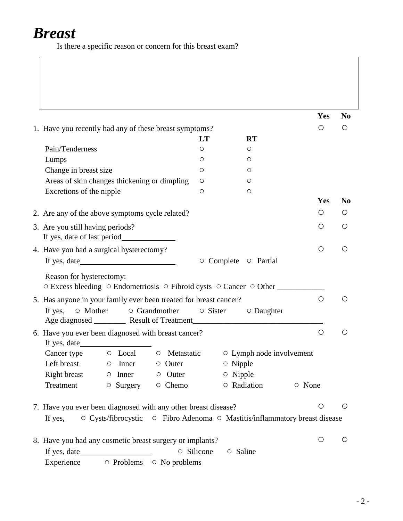## *Breast*

Is there a specific reason or concern for this breast exam?

|                                                                                       |            |                |                                 |        | Yes        | N <sub>0</sub> |
|---------------------------------------------------------------------------------------|------------|----------------|---------------------------------|--------|------------|----------------|
| 1. Have you recently had any of these breast symptoms?                                |            |                |                                 |        | $\bigcirc$ | $\bigcirc$     |
|                                                                                       | <b>LT</b>  |                | <b>RT</b>                       |        |            |                |
| Pain/Tenderness                                                                       | О          |                | O                               |        |            |                |
| Lumps                                                                                 | O          |                | $\circ$                         |        |            |                |
| Change in breast size                                                                 | О          |                | $\circ$                         |        |            |                |
| Areas of skin changes thickening or dimpling                                          | O          |                | O                               |        |            |                |
| Excretions of the nipple                                                              | O          |                | $\circ$                         |        |            |                |
|                                                                                       |            |                |                                 |        | Yes        | N <sub>0</sub> |
| 2. Are any of the above symptoms cycle related?                                       |            |                |                                 |        | O          | $\circ$        |
|                                                                                       |            |                |                                 |        | $\circ$    | O              |
| 3. Are you still having periods?                                                      |            |                |                                 |        |            |                |
|                                                                                       |            |                |                                 |        | $\bigcirc$ | O              |
| 4. Have you had a surgical hysterectomy?                                              |            |                |                                 |        |            |                |
|                                                                                       |            |                | O Complete O Partial            |        |            |                |
| Reason for hysterectomy:                                                              |            |                |                                 |        |            |                |
| ○ Excess bleeding ○ Endometriosis ○ Fibroid cysts ○ Cancer ○ Other                    |            |                |                                 |        |            |                |
| 5. Has anyone in your family ever been treated for breast cancer?                     |            |                |                                 |        | $\bigcirc$ | O              |
| ○ Mother<br>$\circ$ Grandmother<br>If yes,                                            |            |                | $\circ$ Sister $\circ$ Daughter |        |            |                |
| 6. Have you ever been diagnosed with breast cancer?                                   |            |                |                                 |        | $\bigcirc$ | $\circ$        |
|                                                                                       |            |                |                                 |        |            |                |
| Cancer type $\circ$ Local $\circ$ Metastatic                                          |            |                | $\circ$ Lymph node involvement  |        |            |                |
| Left breast $\qquad \qquad \circ$ Inner<br>$\circ$ Outer                              |            | $\circ$ Nipple |                                 |        |            |                |
| $Right \, break \, \circ \, Inner \, \circ \, Outer$                                  |            | $\circ$ Nipple |                                 |        |            |                |
| $\circ$ Surgery $\circ$ Chemo<br>Treatment                                            |            | O Radiation    |                                 | ○ None |            |                |
| 7. Have you ever been diagnosed with any other breast disease?                        |            |                |                                 |        | $\bigcirc$ | $\circ$        |
| ○ Cysts/fibrocystic ○ Fibro Adenoma ○ Mastitis/inflammatory breast disease<br>If yes, |            |                |                                 |        |            |                |
|                                                                                       |            |                |                                 |        | O          | O              |
| 8. Have you had any cosmetic breast surgery or implants?                              | ○ Silicone | ○ Saline       |                                 |        |            |                |
|                                                                                       |            |                |                                 |        |            |                |
| Experience 		 	 O Problems 		 O No problems                                           |            |                |                                 |        |            |                |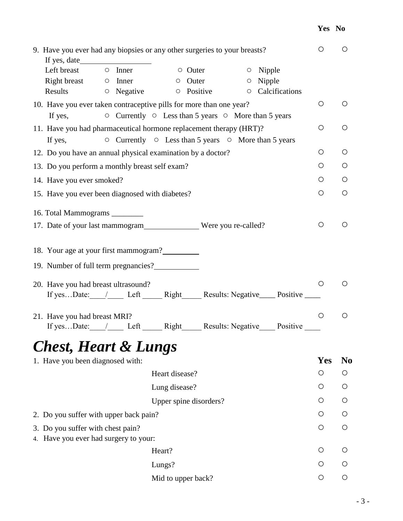## **Yes No**

| If yes, date                                                               | 9. Have you ever had any biopsies or any other surgeries to your breasts?      | $\bigcirc$ | O              |
|----------------------------------------------------------------------------|--------------------------------------------------------------------------------|------------|----------------|
| Left breast $\qquad \circ$ Inner                                           | $\circ$ Outer<br>$\circ$ Nipple                                                |            |                |
| Right breast $\qquad \circ$ Inner                                          | $\circ$ Nipple<br>$\circ$ Outer                                                |            |                |
| $\circ$ Negative<br>Results                                                | Calcifications<br>$\circ$ Positive<br>$\circ$                                  |            |                |
| 10. Have you ever taken contraceptive pills for more than one year?        |                                                                                | O          | $\circ$        |
| If yes,                                                                    | $\circ$ Currently $\circ$ Less than 5 years $\circ$ More than 5 years          |            |                |
|                                                                            | 11. Have you had pharmaceutical hormone replacement therapy (HRT)?             | $\bigcirc$ | O              |
| If yes,                                                                    | $\circ$ Currently $\circ$ Less than 5 years $\circ$ More than 5 years          |            |                |
| 12. Do you have an annual physical examination by a doctor?                |                                                                                | $\circ$    | $\circ$        |
| 13. Do you perform a monthly breast self exam?                             |                                                                                | Ő          | $\circ$        |
| 14. Have you ever smoked?                                                  |                                                                                | O          | O              |
| 15. Have you ever been diagnosed with diabetes?                            |                                                                                | $\bigcirc$ | $\bigcirc$     |
| 16. Total Mammograms ________                                              |                                                                                |            |                |
|                                                                            |                                                                                | $\bigcirc$ | $\bigcirc$     |
| 18. Your age at your first mammogram?                                      |                                                                                |            |                |
| 19. Number of full term pregnancies?                                       |                                                                                |            |                |
|                                                                            |                                                                                |            |                |
| 20. Have you had breast ultrasound?                                        | If yesDate: // Left ______ Right ______ Results: Negative _____ Positive _____ | $\bigcirc$ | $\bigcirc$     |
| 21. Have you had breast MRI?                                               |                                                                                | $\bigcirc$ | $\bigcirc$     |
|                                                                            | If yesDate: // Left ______ Right ______ Results: Negative _____ Positive _____ |            |                |
| <b>Chest, Heart &amp; Lungs</b>                                            |                                                                                |            |                |
| 1. Have you been diagnosed with:                                           |                                                                                | Yes        | N <sub>0</sub> |
|                                                                            | Heart disease?                                                                 | O          | O              |
|                                                                            | Lung disease?                                                                  | O          | O              |
|                                                                            | Upper spine disorders?                                                         | O          | O              |
| 2. Do you suffer with upper back pain?                                     |                                                                                | O          | O              |
| 3. Do you suffer with chest pain?<br>4. Have you ever had surgery to your: |                                                                                | O          | $\circ$        |
|                                                                            | Heart?                                                                         | O          | Ő              |
|                                                                            | Lungs?                                                                         | $\circ$    | O              |
|                                                                            | Mid to upper back?                                                             | O          | O              |